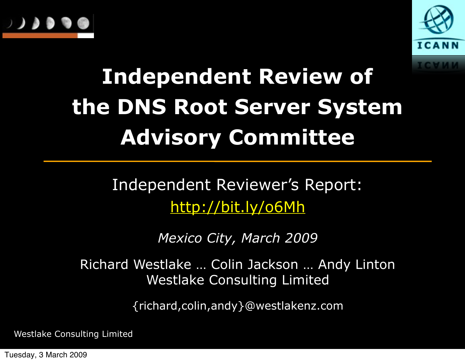



#### **Independent Review of the DNS Root Server System Advisory Committee**

Independent Reviewer's Report: <http://bit.ly/o6Mh>

*Mexico City, March 2009* 

Richard Westlake … Colin Jackson … Andy Linton Westlake Consulting Limited

{richard,colin,andy}@westlakenz.com

Westlake Consulting Limited

Tuesday, 3 March 2009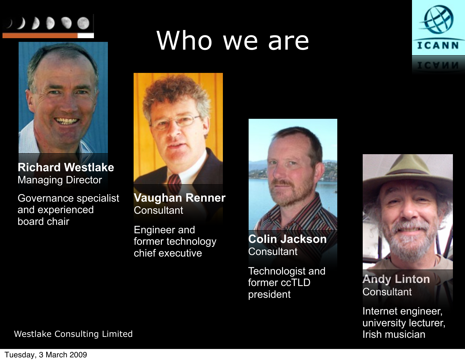



**Richard Westlake** Managing Director

Governance specialist and experienced board chair

#### Who we are



**Vaughan Renner Consultant** 

Engineer and former technology chief executive

**Colin Jackson Consultant** 

Technologist and former ccTLD president





**Andy Linton Consultant** 

Internet engineer, university lecturer, Irish musician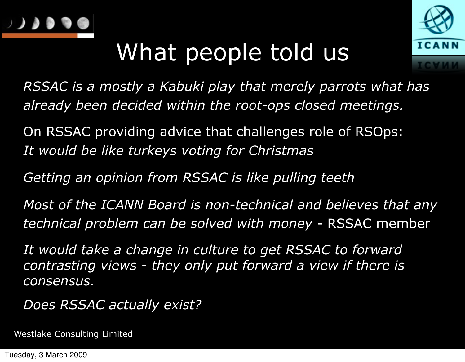

#### What people told us



*RSSAC is a mostly a Kabuki play that merely parrots what has already been decided within the root-ops closed meetings.*

On RSSAC providing advice that challenges role of RSOps: *It would be like turkeys voting for Christmas*

*Getting an opinion from RSSAC is like pulling teeth*

*Most of the ICANN Board is non-technical and believes that any technical problem can be solved with money -* RSSAC member

*It would take a change in culture to get RSSAC to forward contrasting views - they only put forward a view if there is consensus.*

*Does RSSAC actually exist?*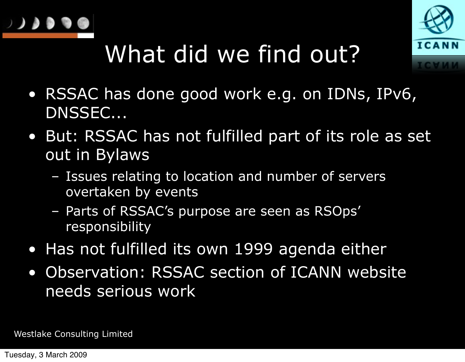



# What did we find out?

- RSSAC has done good work e.g. on IDNs, IPv6, DNSSEC...
- But: RSSAC has not fulfilled part of its role as set out in Bylaws
	- Issues relating to location and number of servers overtaken by events
	- Parts of RSSAC's purpose are seen as RSOps' responsibility
- Has not fulfilled its own 1999 agenda either
- Observation: RSSAC section of ICANN website needs serious work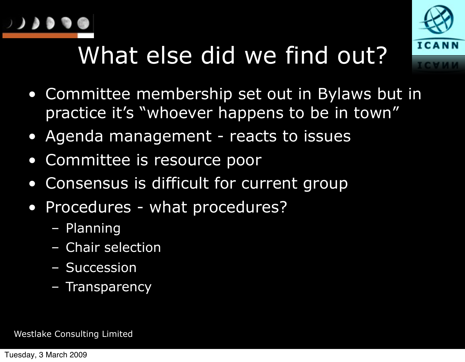



# What else did we find out?

- Committee membership set out in Bylaws but in practice it's "whoever happens to be in town"
- Agenda management reacts to issues
- Committee is resource poor
- Consensus is difficult for current group
- Procedures what procedures?
	- Planning
	- Chair selection
	- Succession
	- Transparency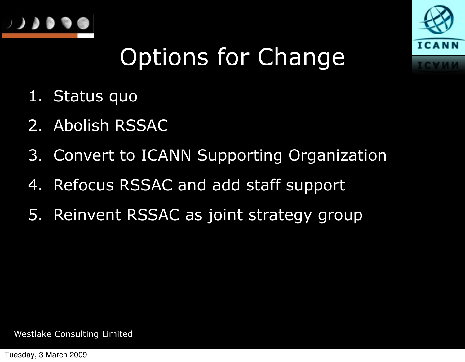



### Options for Change

- 1. Status quo
- 2. Abolish RSSAC
- 3. Convert to ICANN Supporting Organization
- 4. Refocus RSSAC and add staff support
- 5. Reinvent RSSAC as joint strategy group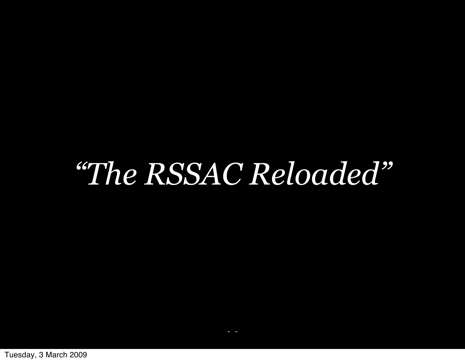# *"The RSSAC Reloaded"*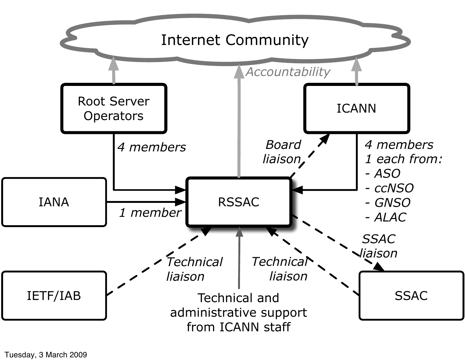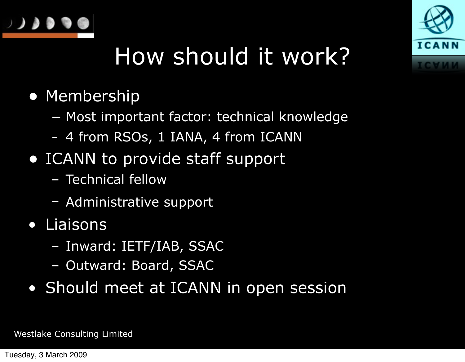



#### How should it work?

- Membership
	- Most important factor: technical knowledge
	- 4 from RSOs, 1 IANA, 4 from ICANN
- ICANN to provide staff support
	- Technical fellow
	- Administrative support
- Liaisons
	- Inward: IETF/IAB, SSAC
	- Outward: Board, SSAC
- Should meet at ICANN in open session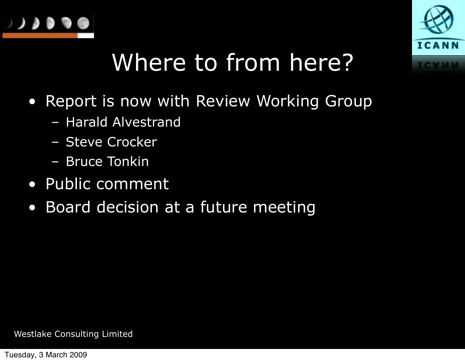



### Where to from here?

- Report is now with Review Working Group
	- Harald Alvestrand
	- Steve Crocker
	- Bruce Tonkin
- Public comment
- Board decision at a future meeting